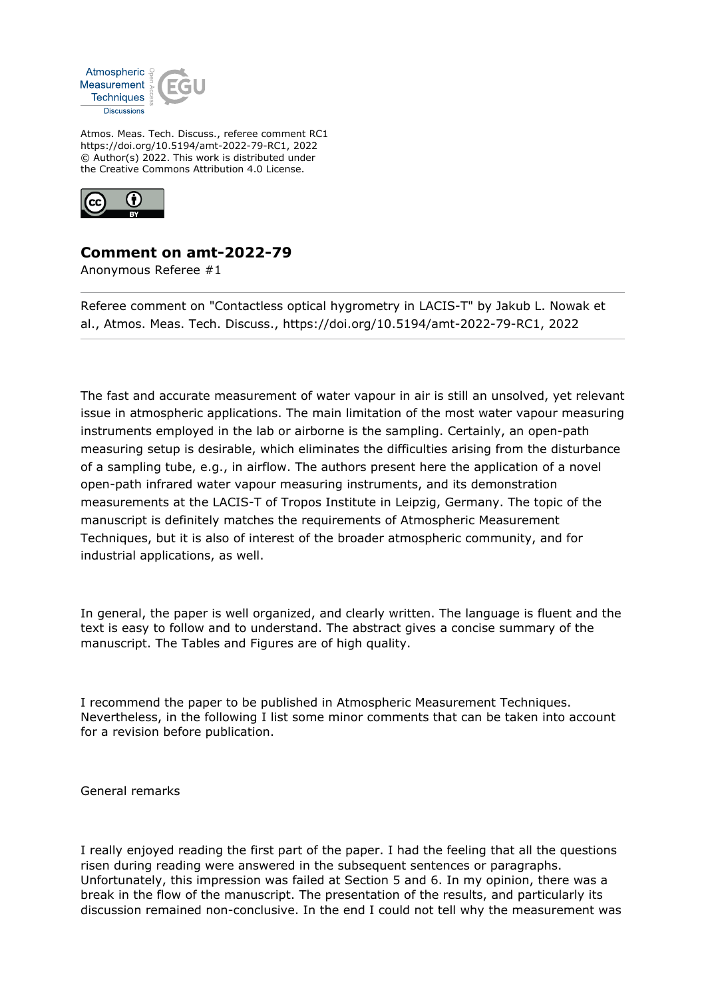

Atmos. Meas. Tech. Discuss., referee comment RC1 https://doi.org/10.5194/amt-2022-79-RC1, 2022 © Author(s) 2022. This work is distributed under the Creative Commons Attribution 4.0 License.



## **Comment on amt-2022-79**

Anonymous Referee #1

Referee comment on "Contactless optical hygrometry in LACIS-T" by Jakub L. Nowak et al., Atmos. Meas. Tech. Discuss., https://doi.org/10.5194/amt-2022-79-RC1, 2022

The fast and accurate measurement of water vapour in air is still an unsolved, yet relevant issue in atmospheric applications. The main limitation of the most water vapour measuring instruments employed in the lab or airborne is the sampling. Certainly, an open-path measuring setup is desirable, which eliminates the difficulties arising from the disturbance of a sampling tube, e.g., in airflow. The authors present here the application of a novel open-path infrared water vapour measuring instruments, and its demonstration measurements at the LACIS-T of Tropos Institute in Leipzig, Germany. The topic of the manuscript is definitely matches the requirements of Atmospheric Measurement Techniques, but it is also of interest of the broader atmospheric community, and for industrial applications, as well.

In general, the paper is well organized, and clearly written. The language is fluent and the text is easy to follow and to understand. The abstract gives a concise summary of the manuscript. The Tables and Figures are of high quality.

I recommend the paper to be published in Atmospheric Measurement Techniques. Nevertheless, in the following I list some minor comments that can be taken into account for a revision before publication.

General remarks

I really enjoyed reading the first part of the paper. I had the feeling that all the questions risen during reading were answered in the subsequent sentences or paragraphs. Unfortunately, this impression was failed at Section 5 and 6. In my opinion, there was a break in the flow of the manuscript. The presentation of the results, and particularly its discussion remained non-conclusive. In the end I could not tell why the measurement was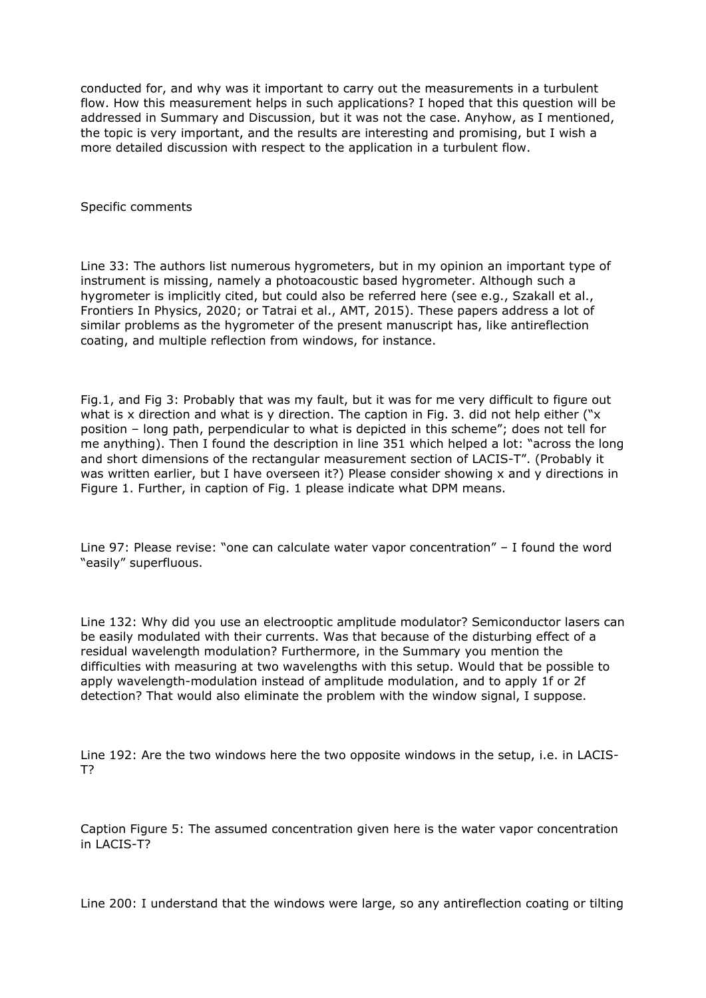conducted for, and why was it important to carry out the measurements in a turbulent flow. How this measurement helps in such applications? I hoped that this question will be addressed in Summary and Discussion, but it was not the case. Anyhow, as I mentioned, the topic is very important, and the results are interesting and promising, but I wish a more detailed discussion with respect to the application in a turbulent flow.

Specific comments

Line 33: The authors list numerous hygrometers, but in my opinion an important type of instrument is missing, namely a photoacoustic based hygrometer. Although such a hygrometer is implicitly cited, but could also be referred here (see e.g., Szakall et al., Frontiers In Physics, 2020; or Tatrai et al., AMT, 2015). These papers address a lot of similar problems as the hygrometer of the present manuscript has, like antireflection coating, and multiple reflection from windows, for instance.

Fig.1, and Fig 3: Probably that was my fault, but it was for me very difficult to figure out what is x direction and what is y direction. The caption in Fig. 3. did not help either ("x position – long path, perpendicular to what is depicted in this scheme"; does not tell for me anything). Then I found the description in line 351 which helped a lot: "across the long and short dimensions of the rectangular measurement section of LACIS-T". (Probably it was written earlier, but I have overseen it?) Please consider showing x and y directions in Figure 1. Further, in caption of Fig. 1 please indicate what DPM means.

Line 97: Please revise: "one can calculate water vapor concentration" – I found the word "easily" superfluous.

Line 132: Why did you use an electrooptic amplitude modulator? Semiconductor lasers can be easily modulated with their currents. Was that because of the disturbing effect of a residual wavelength modulation? Furthermore, in the Summary you mention the difficulties with measuring at two wavelengths with this setup. Would that be possible to apply wavelength-modulation instead of amplitude modulation, and to apply 1f or 2f detection? That would also eliminate the problem with the window signal, I suppose.

Line 192: Are the two windows here the two opposite windows in the setup, i.e. in LACIS-T?

Caption Figure 5: The assumed concentration given here is the water vapor concentration in LACIS-T?

Line 200: I understand that the windows were large, so any antireflection coating or tilting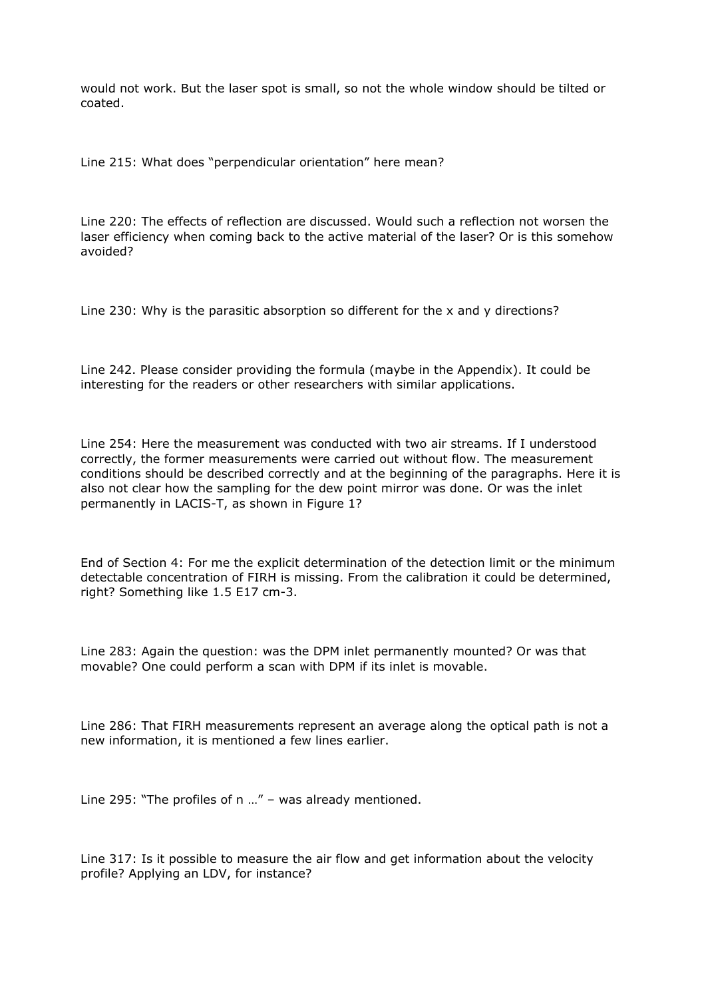would not work. But the laser spot is small, so not the whole window should be tilted or coated.

Line 215: What does "perpendicular orientation" here mean?

Line 220: The effects of reflection are discussed. Would such a reflection not worsen the laser efficiency when coming back to the active material of the laser? Or is this somehow avoided?

Line 230: Why is the parasitic absorption so different for the x and y directions?

Line 242. Please consider providing the formula (maybe in the Appendix). It could be interesting for the readers or other researchers with similar applications.

Line 254: Here the measurement was conducted with two air streams. If I understood correctly, the former measurements were carried out without flow. The measurement conditions should be described correctly and at the beginning of the paragraphs. Here it is also not clear how the sampling for the dew point mirror was done. Or was the inlet permanently in LACIS-T, as shown in Figure 1?

End of Section 4: For me the explicit determination of the detection limit or the minimum detectable concentration of FIRH is missing. From the calibration it could be determined, right? Something like 1.5 E17 cm-3.

Line 283: Again the question: was the DPM inlet permanently mounted? Or was that movable? One could perform a scan with DPM if its inlet is movable.

Line 286: That FIRH measurements represent an average along the optical path is not a new information, it is mentioned a few lines earlier.

Line 295: "The profiles of n …" – was already mentioned.

Line 317: Is it possible to measure the air flow and get information about the velocity profile? Applying an LDV, for instance?